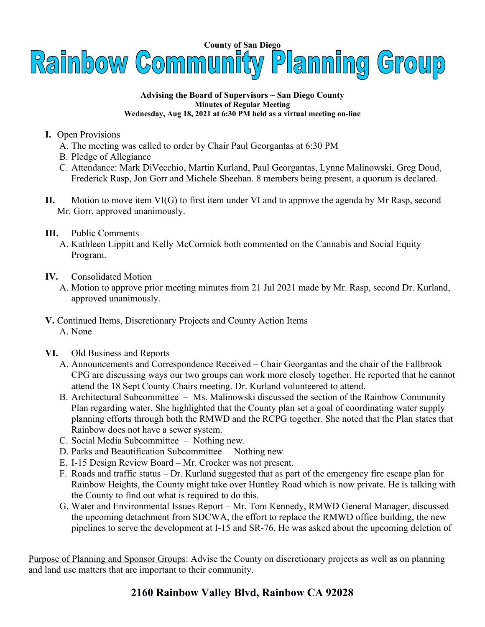

## **Advising the Board of Supervisors ~ San Diego County Minutes of Regular Meeting Wednesday, Aug 18, 2021 at 6:30 PM held as a virtual meeting on-line**

- **I.** Open Provisions
	- A. The meeting was called to order by Chair Paul Georgantas at 6:30 PM
	- B. Pledge of Allegiance
	- C. Attendance: Mark DiVecchio, Martin Kurland, Paul Georgantas, Lynne Malinowski, Greg Doud, Frederick Rasp, Jon Gorr and Michele Sheehan. 8 members being present, a quorum is declared.
- **II.** Motion to move item VI(G) to first item under VI and to approve the agenda by Mr Rasp, second Mr. Gorr, approved unanimously.
- **III.** Public Comments
	- A. Kathleen Lippitt and Kelly McCormick both commented on the Cannabis and Social Equity Program.
- **IV.** Consolidated Motion
	- A. Motion to approve prior meeting minutes from 21 Jul 2021 made by Mr. Rasp, second Dr. Kurland, approved unanimously.
- **V.** Continued Items, Discretionary Projects and County Action Items A. None
- **VI.** Old Business and Reports
	- A. Announcements and Correspondence Received Chair Georgantas and the chair of the Fallbrook CPG are discussing ways our two groups can work more closely together. He reported that he cannot attend the 18 Sept County Chairs meeting. Dr. Kurland volunteered to attend.
	- B. Architectural Subcommittee Ms. Malinowski discussed the section of the Rainbow Community Plan regarding water. She highlighted that the County plan set a goal of coordinating water supply planning efforts through both the RMWD and the RCPG together. She noted that the Plan states that Rainbow does not have a sewer system.
	- C. Social Media Subcommittee Nothing new.
	- D. Parks and Beautification Subcommittee Nothing new
	- E. I-15 Design Review Board Mr. Crocker was not present.
	- F. Roads and traffic status Dr. Kurland suggested that as part of the emergency fire escape plan for Rainbow Heights, the County might take over Huntley Road which is now private. He is talking with the County to find out what is required to do this.
	- G. Water and Environmental Issues Report Mr. Tom Kennedy, RMWD General Manager, discussed the upcoming detachment from SDCWA, the effort to replace the RMWD office building, the new pipelines to serve the development at I-15 and SR-76. He was asked about the upcoming deletion of

Purpose of Planning and Sponsor Groups: Advise the County on discretionary projects as well as on planning and land use matters that are important to their community.

## **2160 Rainbow Valley Blvd, Rainbow CA 92028**